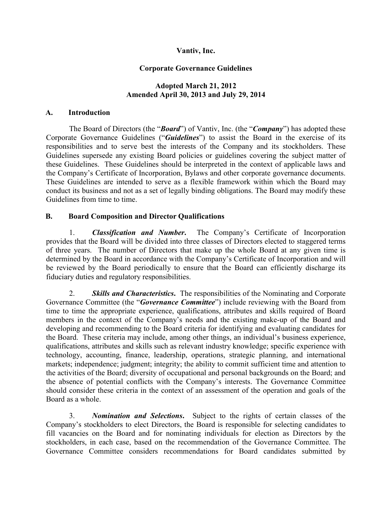### Vantiv, Inc.

### Corporate Governance Guidelines

#### Adopted March 21, 2012 Amended April 30, 2013 and July 29, 2014

#### A. Introduction

The Board of Directors (the "*Board*") of Vantiv, Inc. (the "*Company*") has adopted these Corporate Governance Guidelines ("*Guidelines*") to assist the Board in the exercise of its responsibilities and to serve best the interests of the Company and its stockholders. These Guidelines supersede any existing Board policies or guidelines covering the subject matter of these Guidelines. These Guidelines should be interpreted in the context of applicable laws and the Company's Certificate of Incorporation, Bylaws and other corporate governance documents. These Guidelines are intended to serve as a flexible framework within which the Board may conduct its business and not as a set of legally binding obligations. The Board may modify these Guidelines from time to time.

#### B. Board Composition and Director Qualifications

1. *Classification and Number*. The Company's Certificate of Incorporation provides that the Board will be divided into three classes of Directors elected to staggered terms of three years. The number of Directors that make up the whole Board at any given time is determined by the Board in accordance with the Company's Certificate of Incorporation and will be reviewed by the Board periodically to ensure that the Board can efficiently discharge its fiduciary duties and regulatory responsibilities.

2. *Skills and Characteristics*. The responsibilities of the Nominating and Corporate Governance Committee (the "*Governance Committee*") include reviewing with the Board from time to time the appropriate experience, qualifications, attributes and skills required of Board members in the context of the Company's needs and the existing make-up of the Board and developing and recommending to the Board criteria for identifying and evaluating candidates for the Board. These criteria may include, among other things, an individual's business experience, qualifications, attributes and skills such as relevant industry knowledge; specific experience with technology, accounting, finance, leadership, operations, strategic planning, and international markets; independence; judgment; integrity; the ability to commit sufficient time and attention to the activities of the Board; diversity of occupational and personal backgrounds on the Board; and the absence of potential conflicts with the Company's interests. The Governance Committee should consider these criteria in the context of an assessment of the operation and goals of the Board as a whole.

3. *Nomination and Selections*. Subject to the rights of certain classes of the Company's stockholders to elect Directors, the Board is responsible for selecting candidates to fill vacancies on the Board and for nominating individuals for election as Directors by the stockholders, in each case, based on the recommendation of the Governance Committee. The Governance Committee considers recommendations for Board candidates submitted by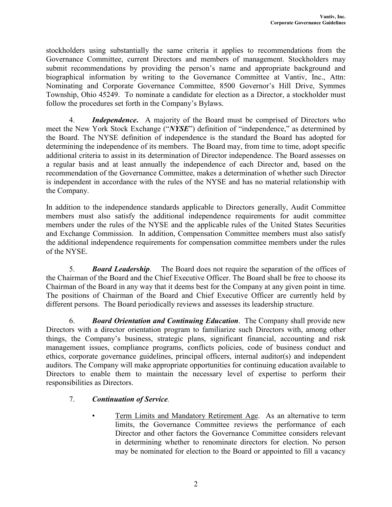stockholders using substantially the same criteria it applies to recommendations from the Governance Committee, current Directors and members of management. Stockholders may submit recommendations by providing the person's name and appropriate background and biographical information by writing to the Governance Committee at Vantiv, Inc., Attn: Nominating and Corporate Governance Committee, 8500 Governor's Hill Drive, Symmes Township, Ohio 45249. To nominate a candidate for election as a Director, a stockholder must follow the procedures set forth in the Company's Bylaws.

4. *Independence*. A majority of the Board must be comprised of Directors who meet the New York Stock Exchange ("*NYSE*") definition of "independence," as determined by the Board. The NYSE definition of independence is the standard the Board has adopted for determining the independence of its members. The Board may, from time to time, adopt specific additional criteria to assist in its determination of Director independence. The Board assesses on a regular basis and at least annually the independence of each Director and, based on the recommendation of the Governance Committee, makes a determination of whether such Director is independent in accordance with the rules of the NYSE and has no material relationship with the Company.

In addition to the independence standards applicable to Directors generally, Audit Committee members must also satisfy the additional independence requirements for audit committee members under the rules of the NYSE and the applicable rules of the United States Securities and Exchange Commission. In addition, Compensation Committee members must also satisfy the additional independence requirements for compensation committee members under the rules of the NYSE.

5. *Board Leadership*. The Board does not require the separation of the offices of the Chairman of the Board and the Chief Executive Officer. The Board shall be free to choose its Chairman of the Board in any way that it deems best for the Company at any given point in time. The positions of Chairman of the Board and Chief Executive Officer are currently held by different persons. The Board periodically reviews and assesses its leadership structure.

6. *Board Orientation and Continuing Education*. The Company shall provide new Directors with a director orientation program to familiarize such Directors with, among other things, the Company's business, strategic plans, significant financial, accounting and risk management issues, compliance programs, conflicts policies, code of business conduct and ethics, corporate governance guidelines, principal officers, internal auditor(s) and independent auditors. The Company will make appropriate opportunities for continuing education available to Directors to enable them to maintain the necessary level of expertise to perform their responsibilities as Directors.

# 7. *Continuation of Service.*

• Term Limits and Mandatory Retirement Age. As an alternative to term limits, the Governance Committee reviews the performance of each Director and other factors the Governance Committee considers relevant in determining whether to renominate directors for election. No person may be nominated for election to the Board or appointed to fill a vacancy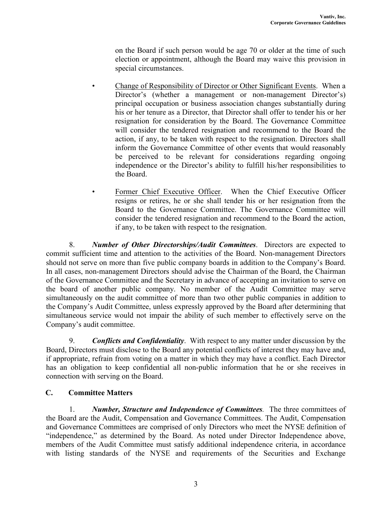on the Board if such person would be age 70 or older at the time of such election or appointment, although the Board may waive this provision in special circumstances.

- Change of Responsibility of Director or Other Significant Events. When a Director's (whether a management or non-management Director's) principal occupation or business association changes substantially during his or her tenure as a Director, that Director shall offer to tender his or her resignation for consideration by the Board. The Governance Committee will consider the tendered resignation and recommend to the Board the action, if any, to be taken with respect to the resignation. Directors shall inform the Governance Committee of other events that would reasonably be perceived to be relevant for considerations regarding ongoing independence or the Director's ability to fulfill his/her responsibilities to the Board.
- Former Chief Executive Officer. When the Chief Executive Officer resigns or retires, he or she shall tender his or her resignation from the Board to the Governance Committee. The Governance Committee will consider the tendered resignation and recommend to the Board the action, if any, to be taken with respect to the resignation.

8. *Number of Other Directorships/Audit Committees*. Directors are expected to commit sufficient time and attention to the activities of the Board. Non-management Directors should not serve on more than five public company boards in addition to the Company's Board. In all cases, non-management Directors should advise the Chairman of the Board, the Chairman of the Governance Committee and the Secretary in advance of accepting an invitation to serve on the board of another public company. No member of the Audit Committee may serve simultaneously on the audit committee of more than two other public companies in addition to the Company's Audit Committee, unless expressly approved by the Board after determining that simultaneous service would not impair the ability of such member to effectively serve on the Company's audit committee.

9. *Conflicts and Confidentiality*. With respect to any matter under discussion by the Board, Directors must disclose to the Board any potential conflicts of interest they may have and, if appropriate, refrain from voting on a matter in which they may have a conflict. Each Director has an obligation to keep confidential all non-public information that he or she receives in connection with serving on the Board.

# C. Committee Matters

1. *Number, Structure and Independence of Committees.* The three committees of the Board are the Audit, Compensation and Governance Committees. The Audit, Compensation and Governance Committees are comprised of only Directors who meet the NYSE definition of "independence," as determined by the Board. As noted under Director Independence above, members of the Audit Committee must satisfy additional independence criteria, in accordance with listing standards of the NYSE and requirements of the Securities and Exchange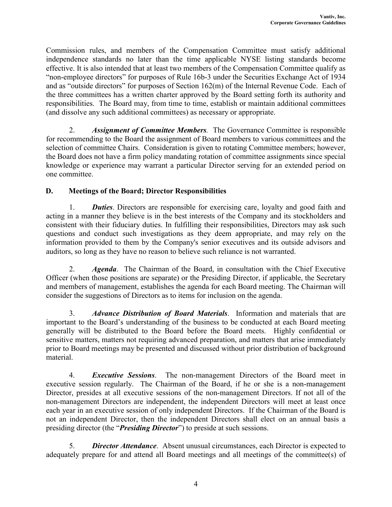Commission rules, and members of the Compensation Committee must satisfy additional independence standards no later than the time applicable NYSE listing standards become effective. It is also intended that at least two members of the Compensation Committee qualify as "non-employee directors" for purposes of Rule 16b-3 under the Securities Exchange Act of 1934 and as "outside directors" for purposes of Section 162(m) of the Internal Revenue Code. Each of the three committees has a written charter approved by the Board setting forth its authority and responsibilities. The Board may, from time to time, establish or maintain additional committees (and dissolve any such additional committees) as necessary or appropriate.

2. *Assignment of Committee Members.* The Governance Committee is responsible for recommending to the Board the assignment of Board members to various committees and the selection of committee Chairs. Consideration is given to rotating Committee members; however, the Board does not have a firm policy mandating rotation of committee assignments since special knowledge or experience may warrant a particular Director serving for an extended period on one committee.

# D. Meetings of the Board; Director Responsibilities

1. *Duties*. Directors are responsible for exercising care, loyalty and good faith and acting in a manner they believe is in the best interests of the Company and its stockholders and consistent with their fiduciary duties. In fulfilling their responsibilities, Directors may ask such questions and conduct such investigations as they deem appropriate, and may rely on the information provided to them by the Company's senior executives and its outside advisors and auditors, so long as they have no reason to believe such reliance is not warranted.

2. *Agenda*. The Chairman of the Board, in consultation with the Chief Executive Officer (when those positions are separate) or the Presiding Director, if applicable, the Secretary and members of management, establishes the agenda for each Board meeting. The Chairman will consider the suggestions of Directors as to items for inclusion on the agenda.

3. *Advance Distribution of Board Materials*. Information and materials that are important to the Board's understanding of the business to be conducted at each Board meeting generally will be distributed to the Board before the Board meets. Highly confidential or sensitive matters, matters not requiring advanced preparation, and matters that arise immediately prior to Board meetings may be presented and discussed without prior distribution of background material.

4. *Executive Sessions*. The non-management Directors of the Board meet in executive session regularly. The Chairman of the Board, if he or she is a non-management Director, presides at all executive sessions of the non-management Directors. If not all of the non-management Directors are independent, the independent Directors will meet at least once each year in an executive session of only independent Directors. If the Chairman of the Board is not an independent Director, then the independent Directors shall elect on an annual basis a presiding director (the "*Presiding Director*") to preside at such sessions.

5. *Director Attendance*. Absent unusual circumstances, each Director is expected to adequately prepare for and attend all Board meetings and all meetings of the committee(s) of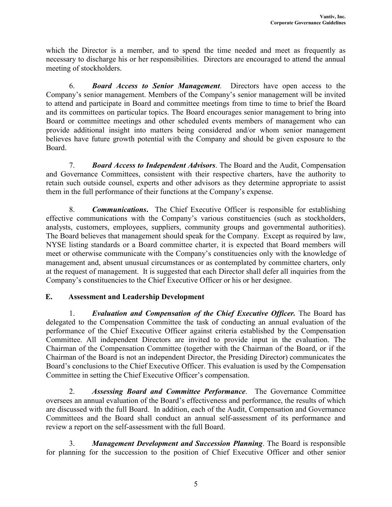which the Director is a member, and to spend the time needed and meet as frequently as necessary to discharge his or her responsibilities. Directors are encouraged to attend the annual meeting of stockholders.

6. *Board Access to Senior Management*. Directors have open access to the Company's senior management. Members of the Company's senior management will be invited to attend and participate in Board and committee meetings from time to time to brief the Board and its committees on particular topics. The Board encourages senior management to bring into Board or committee meetings and other scheduled events members of management who can provide additional insight into matters being considered and/or whom senior management believes have future growth potential with the Company and should be given exposure to the Board.

7. *Board Access to Independent Advisors*. The Board and the Audit, Compensation and Governance Committees, consistent with their respective charters, have the authority to retain such outside counsel, experts and other advisors as they determine appropriate to assist them in the full performance of their functions at the Company's expense.

8. *Communications*. The Chief Executive Officer is responsible for establishing effective communications with the Company's various constituencies (such as stockholders, analysts, customers, employees, suppliers, community groups and governmental authorities). The Board believes that management should speak for the Company. Except as required by law, NYSE listing standards or a Board committee charter, it is expected that Board members will meet or otherwise communicate with the Company's constituencies only with the knowledge of management and, absent unusual circumstances or as contemplated by committee charters, only at the request of management. It is suggested that each Director shall defer all inquiries from the Company's constituencies to the Chief Executive Officer or his or her designee.

# E. Assessment and Leadership Development

1. *Evaluation and Compensation of the Chief Executive Officer.* The Board has delegated to the Compensation Committee the task of conducting an annual evaluation of the performance of the Chief Executive Officer against criteria established by the Compensation Committee. All independent Directors are invited to provide input in the evaluation. The Chairman of the Compensation Committee (together with the Chairman of the Board, or if the Chairman of the Board is not an independent Director, the Presiding Director) communicates the Board's conclusions to the Chief Executive Officer. This evaluation is used by the Compensation Committee in setting the Chief Executive Officer's compensation.

2. *Assessing Board and Committee Performance*. The Governance Committee oversees an annual evaluation of the Board's effectiveness and performance, the results of which are discussed with the full Board. In addition, each of the Audit, Compensation and Governance Committees and the Board shall conduct an annual self-assessment of its performance and review a report on the self-assessment with the full Board.

3. *Management Development and Succession Planning*. The Board is responsible for planning for the succession to the position of Chief Executive Officer and other senior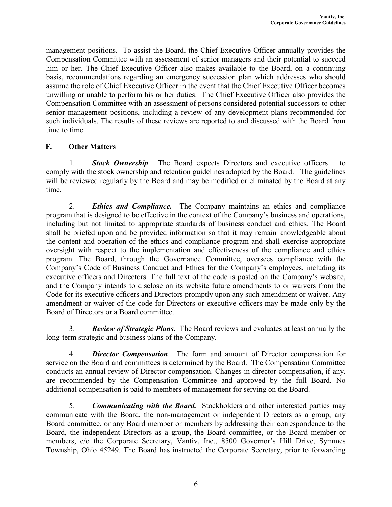management positions. To assist the Board, the Chief Executive Officer annually provides the Compensation Committee with an assessment of senior managers and their potential to succeed him or her. The Chief Executive Officer also makes available to the Board, on a continuing basis, recommendations regarding an emergency succession plan which addresses who should assume the role of Chief Executive Officer in the event that the Chief Executive Officer becomes unwilling or unable to perform his or her duties. The Chief Executive Officer also provides the Compensation Committee with an assessment of persons considered potential successors to other senior management positions, including a review of any development plans recommended for such individuals. The results of these reviews are reported to and discussed with the Board from time to time.

## F. Other Matters

1. *Stock Ownership.* The Board expects Directors and executive officers to comply with the stock ownership and retention guidelines adopted by the Board. The guidelines will be reviewed regularly by the Board and may be modified or eliminated by the Board at any time.

2. *Ethics and Compliance.* The Company maintains an ethics and compliance program that is designed to be effective in the context of the Company's business and operations, including but not limited to appropriate standards of business conduct and ethics. The Board shall be briefed upon and be provided information so that it may remain knowledgeable about the content and operation of the ethics and compliance program and shall exercise appropriate oversight with respect to the implementation and effectiveness of the compliance and ethics program. The Board, through the Governance Committee, oversees compliance with the Company's Code of Business Conduct and Ethics for the Company's employees, including its executive officers and Directors. The full text of the code is posted on the Company's website, and the Company intends to disclose on its website future amendments to or waivers from the Code for its executive officers and Directors promptly upon any such amendment or waiver. Any amendment or waiver of the code for Directors or executive officers may be made only by the Board of Directors or a Board committee.

3. *Review of Strategic Plans*. The Board reviews and evaluates at least annually the long-term strategic and business plans of the Company.

4. *Director Compensation*. The form and amount of Director compensation for service on the Board and committees is determined by the Board. The Compensation Committee conducts an annual review of Director compensation. Changes in director compensation, if any, are recommended by the Compensation Committee and approved by the full Board. No additional compensation is paid to members of management for serving on the Board.

5. *Communicating with the Board.* Stockholders and other interested parties may communicate with the Board, the non-management or independent Directors as a group, any Board committee, or any Board member or members by addressing their correspondence to the Board, the independent Directors as a group, the Board committee, or the Board member or members, c/o the Corporate Secretary, Vantiv, Inc., 8500 Governor's Hill Drive, Symmes Township, Ohio 45249. The Board has instructed the Corporate Secretary, prior to forwarding